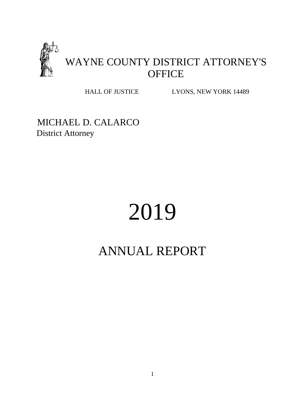

HALL OF JUSTICE LYONS, NEW YORK 14489

MICHAEL D. CALARCO District Attorney

# 2019

# ANNUAL REPORT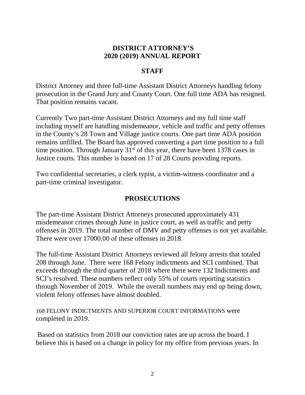## **DISTRICT ATTORNEY'S 2020 (2019) ANNUAL REPORT**

# **STAFF**

District Attorney and three full-time Assistant District Attorneys handling felony prosecution in the Grand Jury and County Court. One full time ADA has resigned. That position remains vacant.

Currently Two part-time Assistant District Attorneys and my full time staff including myself are handling misdemeanor, vehicle and traffic and petty offenses in the County's 28 Town and Village justice courts. One part time ADA position remains unfilled. The Board has approved converting a part time position to a full time position. Through January  $31<sup>st</sup>$  of this year, there have been 1378 cases in Justice courts. This number is based on 17 of 28 Courts providing reports.

Two confidential secretaries, a clerk typist, a victim-witness coordinator and a part-time criminal investigator.

# **PROSECUTIONS**

The part-time Assistant District Attorneys prosecuted approximately 431 misdemeanor crimes through June in justice court, as well as traffic and petty offenses in 2019. The total number of DMV and petty offenses is not yet available. There were over 17000.00 of these offenses in 2018.

The full-time Assistant District Attorneys reviewed all felony arrests that totaled 208 through June. There were 168 Felony indictments and SCI combined. That exceeds through the third quarter of 2018 where there were 132 Indictments and SCI's resolved. These numbers reflect only 55% of courts reporting statistics through November of 2019. While the overall numbers may end up being down, violent felony offenses have almost doubled.

168 FELONY INDICTMENTS AND SUPERIOR COURT INFORMATIONS were completed in 2019.

Based on statistics from 2018 our conviction rates are up across the board. I believe this is based on a change in policy for my office from previous years. In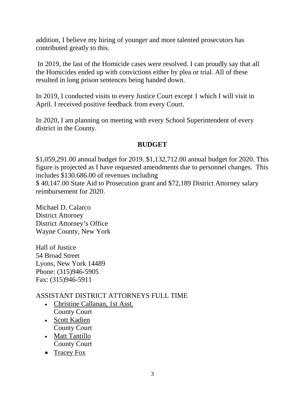addition, I believe my hiring of younger and more talented prosecutors has contributed greatly to this.

In 2019, the last of the Homicide cases were resolved. I can proudly say that all the Homicides ended up with convictions either by plea or trial. All of these resulted in long prison sentences being handed down.

In 2019, I conducted visits to every Justice Court except 1 which I will visit in April. I received positive feedback from every Court.

In 2020, I am planning on meeting with every School Superintendent of every district in the County.

# **BUDGET**

\$1,059,291.00 annual budget for 2019. \$1,132,712.00 annual budget for 2020. This figure is projected as I have requested amendments due to personnel changes. This includes \$130.686.00 of revenues including

\$ 40,147.00 State Aid to Prosecution grant and \$72,189 District Attorney salary reimbursement for 2020.

Michael D. Calarco District Attorney District Attorney's Office Wayne County, New York

Hall of Justice 54 Broad Street Lyons, New York 14489 Phone: (315)946-5905 Fax: (315)946-5911

# ASSISTANT DISTRICT ATTORNEYS FULL TIME

- Christine Callanan, 1st Asst. County Court
- Scott Kadien County Court
- Matt Tantillo County Court
- 
- Tracey Fox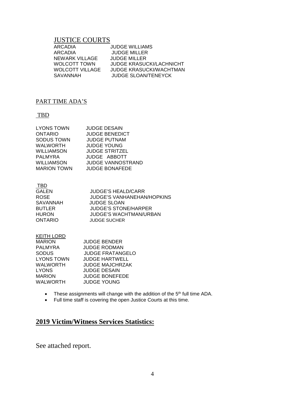#### JUSTICE COURTS

| ARCADIA                | <b>JUDGE WILLIAMS</b>           |
|------------------------|---------------------------------|
| ARCADIA                | <b>JUDGE MILLER</b>             |
| NEWARK VILLAGE         | JUDGE MILLER                    |
| <b>WOLCOTT TOWN</b>    | <b>JUDGE KRASUCKI/LACHNICHT</b> |
| <b>WOLCOTT VILLAGE</b> | JUDGE KRASUCKI/WACHTMAN         |
| SAVANNAH               | <b>JUDGE SLOAN/TENEYCK</b>      |
|                        |                                 |

#### PART TIME ADA'S

#### TBD

| LYONS TOWN         | <b>JUDGE DESAIN</b>      |
|--------------------|--------------------------|
| ONTARIO            | <b>JUDGE BENEDICT</b>    |
| SODUS TOWN         | <b>JUDGE PUTNAM</b>      |
| WALWORTH           | <b>JUDGE YOUNG</b>       |
| WILLIAMSON         | <b>JUDGE STRITZEL</b>    |
| PALMYRA            | JUDGE ABBOTT             |
| WILLIAMSON         | <b>JUDGE VANNOSTRAND</b> |
| <b>MARION TOWN</b> | <b>JUDGE BONAFEDE</b>    |
|                    |                          |

TBD

| GALEN          | <b>JUDGE'S HEALD/CARR</b>     |
|----------------|-------------------------------|
| <b>ROSE</b>    | JUDGE'S VANHANEHAN/HOPKINS    |
| SAVANNAH       | JUDGE SLOAN                   |
| <b>BUTLER</b>  | <b>JUDGE'S STONE/HARPER</b>   |
| <b>HURON</b>   | <b>JUDGE'S WACHTMAN/URBAN</b> |
| <b>ONTARIO</b> | <b>JUDGE SUCHER</b>           |
|                |                               |

#### <u>KEITH LORD</u>

| <b>JUDGE BENDER</b>     |
|-------------------------|
| <b>JUDGE RODMAN</b>     |
| <b>JUDGE FRATANGELO</b> |
| <b>JUDGE HARTWELL</b>   |
| <b>JUDGE MAJCHRZAK</b>  |
| <b>JUDGE DESAIN</b>     |
| <b>JUDGE BONEFEDE</b>   |
| <b>JUDGE YOUNG</b>      |
|                         |

- These assignments will change with the addition of the 5<sup>th</sup> full time ADA.
- Full time staff is covering the open Justice Courts at this time.

# **2019 Victim/Witness Services Statistics:**

See attached report.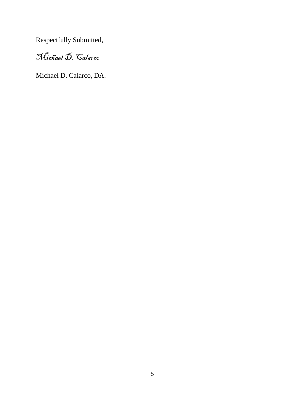Respectfully Submitted,

# Michael D. Calarco

Michael D. Calarco, DA.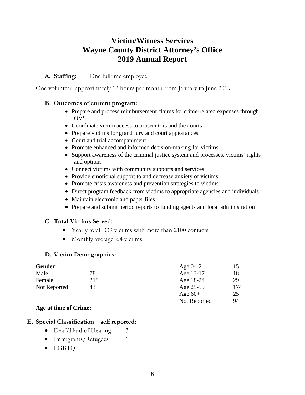# **Victim/Witness Services Wayne County District Attorney's Office 2019 Annual Report**

#### **A. Staffing:** One fulltime employee

One volunteer, approximately 12 hours per month from January to June 2019

#### **B. Outcomes of current program:**

- Prepare and process reimbursement claims for crime-related expenses through **OVS**
- Coordinate victim access to prosecutors and the courts
- Prepare victims for grand jury and court appearances
- Court and trial accompaniment
- Promote enhanced and informed decision-making for victims
- Support awareness of the criminal justice system and processes, victims' rights and options
- Connect victims with community supports and services
- Provide emotional support to and decrease anxiety of victims
- Promote crisis awareness and prevention strategies to victims
- Direct program feedback from victims to appropriate agencies and individuals
- Maintain electronic and paper files
- Prepare and submit period reports to funding agents and local administration

#### **C. Total Victims Served:**

- Yearly total: 339 victims with more than 2100 contacts
- Monthly average: 64 victims

#### **D. Victim Demographics:**

| Gender:      |     | Age $0-12$   | 15  |
|--------------|-----|--------------|-----|
| Male         | 78  | Age 13-17    | 18  |
| Female       | 218 | Age 18-24    | 29  |
| Not Reported | 43  | Age 25-59    | 174 |
|              |     | Age $60+$    | 25  |
|              |     | Not Reported | 94  |

#### **Age at time of Crime:**

#### **E. Special Classification – self reported:**

- Deaf/Hard of Hearing 3
- Immigrants/Refugees 1
- $LGBTQ$  0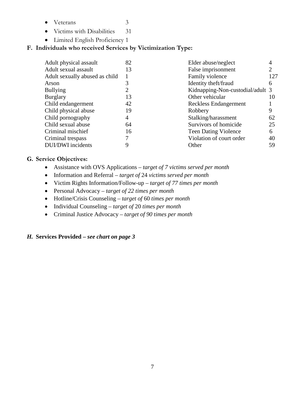- Veterans 3
- Victims with Disabilities 31
- Limited English Proficiency 1

## **F. Individuals who received Services by Victimization Type:**

| Adult physical assault         | 82 | Elder abuse/neglect              | 4   |
|--------------------------------|----|----------------------------------|-----|
| Adult sexual assault           | 13 | False imprisonment               | 2   |
| Adult sexually abused as child |    | Family violence                  | 127 |
| Arson                          |    | Identity theft/fraud             | 6   |
| <b>Bullying</b>                |    | Kidnapping-Non-custodial/adult 3 |     |
| <b>Burglary</b>                | 13 | Other vehicular                  | 10  |
| Child endangerment             | 42 | Reckless Endangerment            |     |
| Child physical abuse           | 19 | Robbery                          | 9   |
| Child pornography              | 4  | Stalking/harassment              | 62  |
| Child sexual abuse             | 64 | Survivors of homicide            | 25  |
| Criminal mischief              | 16 | <b>Teen Dating Violence</b>      | 6   |
| Criminal trespass              |    | Violation of court order         | 40  |
| DUI/DWI incidents              |    | Other                            | 59  |

#### **G. Service Objectives:**

- Assistance with OVS Applications *target of 7 victims served per month*
- Information and Referral *target of* 24 *victims served per month*
- Victim Rights Information/Follow-up *target of 77 times per month*
- Personal Advocacy *target of 22 times per month*
- Hotline/Crisis Counseling *target of* 60 *times per month*
- Individual Counseling *target of* 20 *times per month*
- Criminal Justice Advocacy *target of 90 times per month*

#### *H.* **Services Provided –** *see chart on page 3*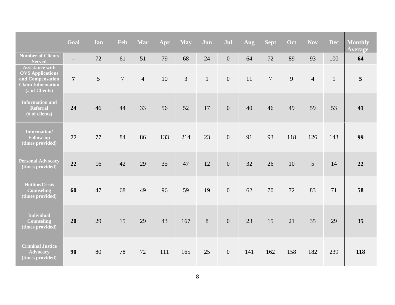|                                                                                                                     | Goal           | Jan | Feb            | Mar            | Apr | May | Jun          | Jul            | Aug | Sept           | Oct | <b>Nov</b>     | <b>Dec</b>   | <b>Monthly</b><br><b>Average</b> |
|---------------------------------------------------------------------------------------------------------------------|----------------|-----|----------------|----------------|-----|-----|--------------|----------------|-----|----------------|-----|----------------|--------------|----------------------------------|
| <b>Number of Clients</b><br><b>Served</b>                                                                           | $\overline{a}$ | 72  | 61             | 51             | 79  | 68  | 24           | $\overline{0}$ | 64  | 72             | 89  | 93             | 100          | 64                               |
| <b>Assistance with</b><br><b>OVS</b> Applications<br>and Compensation<br><b>Claim Information</b><br>(# of Clients) | $\overline{7}$ | 5   | $\overline{7}$ | $\overline{4}$ | 10  | 3   | $\mathbf{1}$ | $\overline{0}$ | 11  | $\overline{7}$ | 9   | $\overline{4}$ | $\mathbf{1}$ | 5                                |
| <b>Information and</b><br><b>Referral</b><br>(# of clients)                                                         | 24             | 46  | 44             | 33             | 56  | 52  | 17           | $\overline{0}$ | 40  | 46             | 49  | 59             | 53           | 41                               |
| Information/<br>Follow-up<br>(times provided)                                                                       | 77             | 77  | 84             | 86             | 133 | 214 | 23           | $\overline{0}$ | 91  | 93             | 118 | 126            | 143          | 99                               |
| <b>Personal Advocacy</b><br>(times provided)                                                                        | 22             | 16  | 42             | 29             | 35  | 47  | 12           | $\overline{0}$ | 32  | 26             | 10  | 5              | 14           | 22                               |
| Hotline/Crisis<br><b>Counseling</b><br>(times provided)                                                             | 60             | 47  | 68             | 49             | 96  | 59  | 19           | $\overline{0}$ | 62  | 70             | 72  | 83             | 71           | 58                               |
| <b>Individual</b><br><b>Counseling</b><br>(times provided)                                                          | 20             | 29  | 15             | 29             | 43  | 167 | 8            | $\mathbf{0}$   | 23  | 15             | 21  | 35             | 29           | 35                               |
| <b>Criminal Justice</b><br><b>Advocacy</b><br>(times provided)                                                      | 90             | 80  | 78             | 72             | 111 | 165 | 25           | $\overline{0}$ | 141 | 162            | 158 | 182            | 239          | 118                              |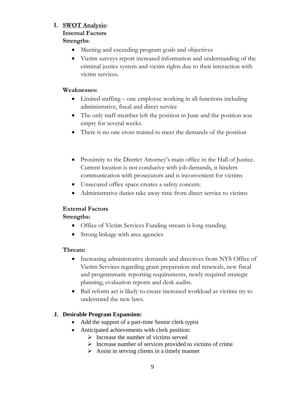#### **I. SWOT Analysis:**

# **Internal Factors**

## **Strengths**:

- Meeting and exceeding program goals and objectives
- Victim surveys report increased information and understanding of the criminal justice system and victim rights due to their interaction with victim services.

#### **Weaknesses:**

- Limited staffing one employee working in all functions including administrative, fiscal and direct service
- The only staff member left the position in June and the position was empty for several weeks.
- There is no one cross trained to meet the demands of the position
- Proximity to the District Attorney's main office in the Hall of Justice. Current location is not conducive with job demands, it hinders communication with prosecutors and is inconvenient for victims
- Unsecured office space creates a safety concern.
- Administrative duties take away time from direct service to victims

#### **External Factors**

#### **Strengths:**

- Office of Victim Services Funding stream is long standing
- Strong linkage with area agencies

#### **Threats:**

- Increasing administrative demands and directives from NYS Office of Victim Services regarding grant preparation and renewals, new fiscal and programmatic reporting requirements, newly required strategic planning, evaluation reports and desk audits.
- Bail reform act is likely to create increased workload as victims try to understand the new laws.

## **J. Desirable Program Expansion:**

- Add the support of a part-time Senior clerk typist
- Anticipated achievements with clerk position:
	- $\triangleright$  Increase the number of victims served
	- $\triangleright$  Increase number of services provided to victims of crime
	- $\triangleright$  Assist in serving clients in a timely manner